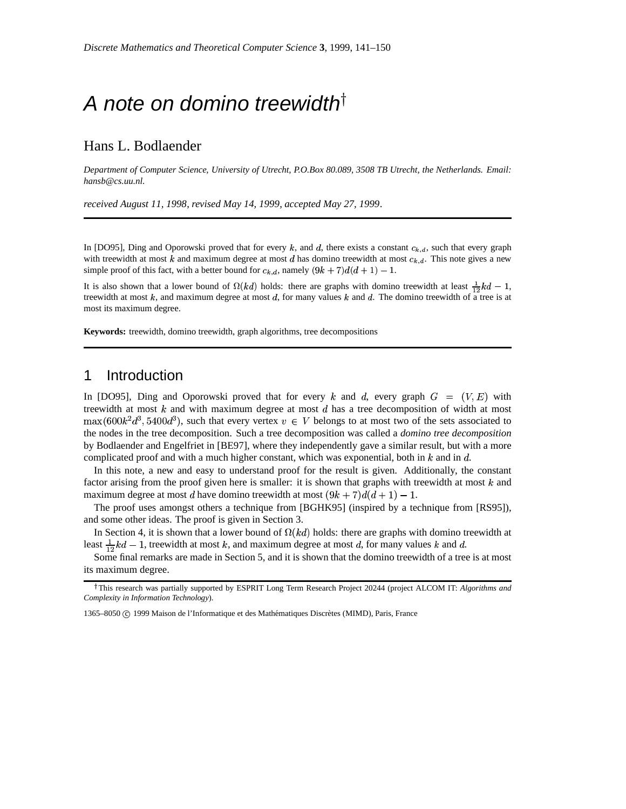# A note on domino treewidth<sup>†</sup>

### Hans L. Bodlaender

*Department of Computer Science, University of Utrecht, P.O.Box 80.089, 3508 TB Utrecht, the Netherlands. Email: hansb@cs.uu.nl.*

*received August 11, 1998*, *revised May 14, 1999*, *accepted May 27, 1999*.

In [DO95], Ding and Oporowski proved that for every  $k$ , and  $d$ , there exists a constant  $c_{k,d}$ , such that every graph with treewidth at most k and maximum degree at most d has domino treewidth at most  $c_{k,d}$ . This note gives a new simple proof of this fact, with a better bound for  $c_{k,d}$ , namely  $(9k + 7)d(d + 1) - 1$ .

It is also shown that a lower bound of  $\Omega(kd)$  holds: there are graphs with domino treewidth at least  $\frac{1}{12}kd-1$ , treewidth at most  $k$ , and maximum degree at most  $d$ , for many values  $k$  and  $d$ . The domino treewidth of a tree is at most its maximum degree.

**Keywords:** treewidth, domino treewidth, graph algorithms, tree decompositions

# 1 Introduction

In [DO95], Ding and Oporowski proved that for every  $k$  and  $d$ , every graph  $G = (V, E)$  with treewidth at most  $k$  and with maximum degree at most  $d$  has a tree decomposition of width at most  $\max(600k^2d^3, 5400d^3)$ , such that every vertex  $v \in V$  belongs to at most two of the sets associated to the nodes in the tree decomposition. Such a tree decomposition was called a *domino tree decomposition* by Bodlaender and Engelfriet in [BE97], where they independently gave a similar result, but with a more complicated proof and with a much higher constant, which was exponential, both in  $k$  and in  $d$ .

In this note, a new and easy to understand proof for the result is given. Additionally, the constant factor arising from the proof given here is smaller: it is shown that graphs with treewidth at most  $k$  and maximum degree at most d have domino treewidth at most  $(9k+7)d(d+1)-1$ .

The proof uses amongst others a technique from [BGHK95] (inspired by a technique from [RS95]), and some other ideas. The proof is given in Section 3.

In Section 4, it is shown that a lower bound of  $\Omega(kd)$  holds: there are graphs with domino treewidth at least  $\frac{1}{12}kd - 1$ , treewidth at most k, and maximum degree at most d, for many values k and d.

Some final remarks are made in Section 5, and it is shown that the domino treewidth of a tree is at most its maximum degree.

1365–8050 © 1999 Maison de l'Informatique et des Mathématiques Discrètes (MIMD), Paris, France

<sup>&</sup>lt;sup>†</sup>This research was partially supported by ESPRIT Long Term Research Project 20244 (project ALCOM IT: *Algorithms and Complexity in Information Technology*).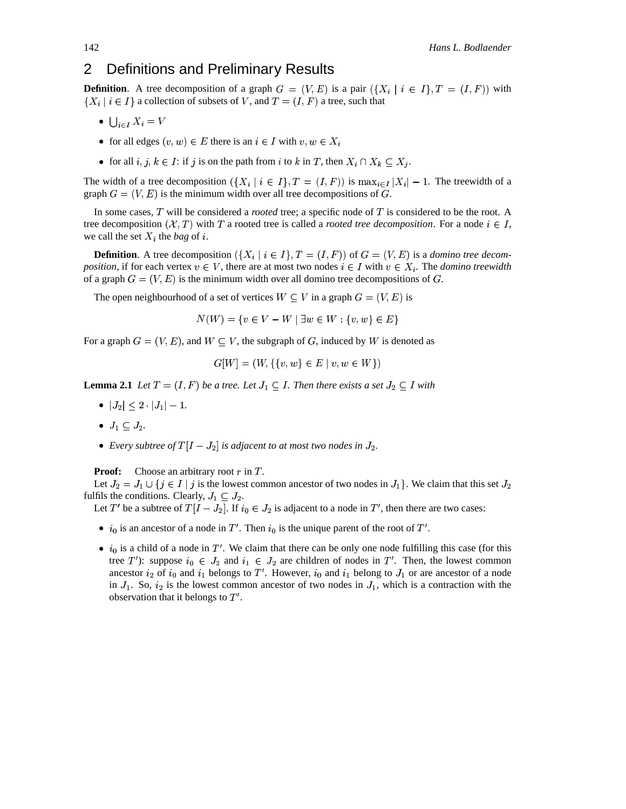# 2 Definitions and Preliminary Results

**Definition**. A tree decomposition of a graph  $G=(V,E)$  is a pair  $(\{X_i \mid i \in I\}, T=(I, F))$  with  $\{X_i \mid i \in I\}$  a collection of subsets of V, and  $T = (I, F)$  a tree, such that

- $\bigcup_{i \in I} X_i = V$
- for all edges  $(v, w) \in E$  there is an  $i \in I$  with  $v, w \in X_i$
- for all  $i, j, k \in I$ : if  $j$  is on the path from  $i$  to  $k$  in  $T$ , then  $X_i \cap X_k \subseteq X_j$ .

The width of a tree decomposition  $(\{X_i \mid i \in I\}, T = (I, F))$  is  $\max_{i \in I} |X_i| - 1$ . The treewidth of a graph  $G=(V, E)$  is the minimum width over all tree decompositions of G.

In some cases,  $T$  will be considered a *rooted* tree; a specific node of  $T$  is considered to be the root. A tree decomposition  $(X, T)$  with T a rooted tree is called a *rooted tree decomposition*. For a node  $i \in I$ , we call the set  $X_i$  the *bag* of i.

**Definition**. A tree decomposition  $(\{X_i \mid i \in I\}, T = (I, F))$  of  $G = (V, E)$  is a *domino tree decomposition*, if for each vertex  $v \in V$ , there are at most two nodes  $i \in I$  with  $v \in X_i$ . The *domino treewidth* of a graph  $G=(V,E)$  is the minimum width over all domino tree decompositions of G.

The open neighbourhood of a set of vertices  $W \subseteq V$  in a graph  $G = (V, E)$  is

$$
N(W) = \{ v \in V - W \mid \exists w \in W : \{v, w\} \in E \}
$$

For a graph  $G = (V, E)$ , and  $W \subseteq V$ , the subgraph of G, induced by W is denoted as

$$
G[W] = (W, \{\{v, w\} \in E \mid v, w \in W\})
$$

**Lemma 2.1** *Let*  $T = (I, F)$  *be a tree. Let*  $J_1 \subseteq I$ *. Then there exists a set*  $J_2 \subseteq I$  *with* 

- $\bullet$   $|J_2| \leq 2 \cdot |J_1| 1.$
- $J_1 \subseteq J_2.$
- Every subtree of  $T[I J_2]$  is adjacent to at most two nodes in  $J_2$ .

**Proof:** Choose an arbitrary root  $r$  in  $T$ .

Let  $J_2 = J_1 \cup \{j \in I \mid j \text{ is the lowest common ancestor of two nodes in } J_1\}$ . We claim that this set  $J_2$ fulfils the conditions. Clearly,  $J_1 \subseteq J_2$ .

Let T' be a subtree of  $T[I - J_2]$ . If  $i_0 \in J_2$  is adjacent to a node in T', then there are two cases:

- $i_0$  is an ancestor of a node in  $T'$ . Then  $i_0$  is the unique parent of the root of  $T'$ .
- $i_0$  is a child of a node in T'. We claim that there can be only one node fulfilling this case (for this tree T'): suppose  $i_0 \in J_2$  and  $i_1 \in J_2$  are children of nodes in T'. Then, the lowest common ancestor  $i_2$  of  $i_0$  and  $i_1$  belongs to T'. However,  $i_0$  and  $i_1$  belong to  $J_1$  or are ancestor of a node in  $J_1$ . So,  $i_2$  is the lowest common ancestor of two nodes in  $J_1$ , which is a contraction with the observation that it belongs to  $T'$ .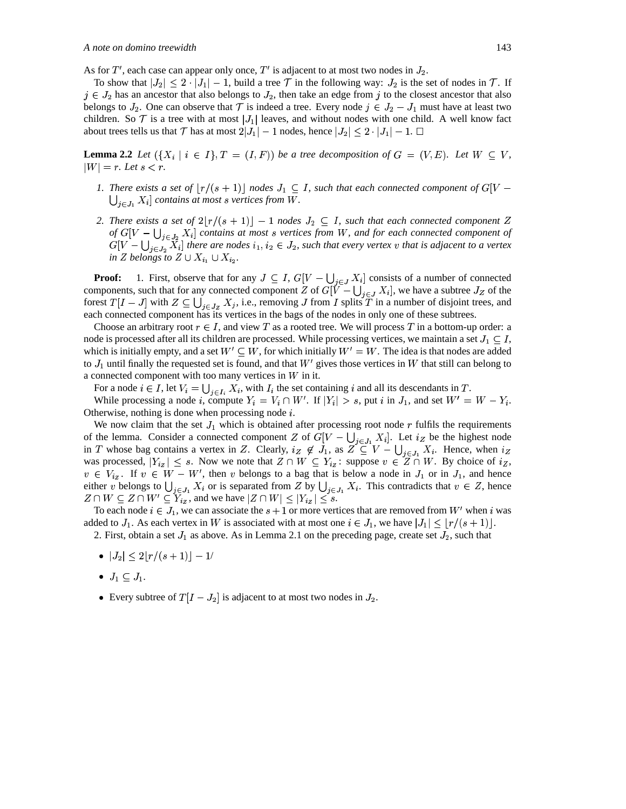As for T', each case can appear only once, T' is adjacent to at most two nodes in  $J_2$ .

To show that  $|J_2| \leq 2 \cdot |J_1| - 1$ , build a tree  $\mathcal T$  in the following way:  $J_2$  is the set of nodes in  $\mathcal T$ . If  $j \in J_2$  has an ancestor that also belongs to  $J_2$ , then take an edge from  $j$  to the closest ancestor that also  $j \in J_2$ . belongs to  $J_2$ . One can observe that  $\mathcal T$  is indeed a tree. Every node  $j \in J_2 - J_1$  must have at least two children. So  $\mathcal T$  is a tree with at most  $|J_1|$  leaves, and without nodes with one child. A well know fact about trees tells us that  ${\cal T}$  has at most  $2|J_1|-1$  nodes, hence  $|J_2|\leq 2\cdot |J_1|-1.$   $\Box$ 

**Lemma 2.2** *Let*  $(\lbrace X_i \mid i \in I \rbrace, T = (I, F))$  *be a tree decomposition of*  $G = (V, E)$ *. Let*  $W \subseteq V$ *,*  $|W| = r$ . Let  $s < r$ .

- *1.* There exists a set of  $\lfloor r/(s+1) \rfloor$  nodes  $J_1 \subseteq I$ , such that each connected component of  $G[V -]$  $\bigcup_{i \in I_1} X_i$  *contains at most s vertices from W.*
- 2. There exists a set of  $2\lfloor r/(s+1) \rfloor 1$  nodes  $J_2 \subseteq I$ , such that each connected component  $Z$ *of*  $G[V - \bigcup_{i \in I_2} X_i]$  *contains at most s vertices from W*, and for each connected component of  $G[V - \bigcup_{j \in J_2} X_i]$  there are nodes  $i_1, i_2 \in J_2$ , such that every vertex  $v$  that is adjacent to a vertex in *Z* belongs to  $Z \cup X_{i_1} \cup X_{i_2}$ .

**Proof:** 1. First, observe that for any  $J \subseteq I$ ,  $G[V - \bigcup_{i \in I} X_i]$  consists of a number of connected components, such that for any connected component Z of  $G[V - \bigcup_{i \in I} X_i]$ , we have a subtree  $J_Z$  of the forest  $T[I-J]$  with  $Z \subseteq \bigcup_{i \in I_{\tau}} X_i$ , i.e., removing J from I splits T in a number of disjoint trees, and each connected component has its vertices in the bags of the nodes in only one of these subtrees.

Choose an arbitrary root  $r \in I$ , and view T as a rooted tree. We will process T in a bottom-up order: a node is processed after all its children are processed. While processing vertices, we maintain a set  $J_1 \subseteq I$ , which is initially empty, and a set  $W' \subseteq W$ , for which initially  $W' = W$ . The idea is that nodes are added to  $J_1$  until finally the requested set is found, and that  $W'$  gives those vertices in W that still can belong to a connected component with too many vertices in  $W$  in it.

For a node  $i \in I$ , let  $V_i = \bigcup_{i \in I_i} X_i$ , with  $I_i$  the set containing i and all its descendants in T. While processing a node *i*, compute  $Y_i = V_i \cap W'$ . If  $|Y_i| > s$ , put *i* in  $J_1$ , and set  $W' = W - Y_i$ .

Otherwise, nothing is done when processing node  $i$ . We now claim that the set  $J_1$  which is obtained after processing root node  $r$  fulfils the requirements of the lemma. Consider a connected component Z of  $G[V - \bigcup_{i \in I} X_i]$ . Let  $i_Z$  be the highest node in T whose bag contains a vertex in Z. Clearly,  $i_Z \notin J_1$ , as  $Z \subseteq V - \bigcup_{j \in J_1} X_i$ . Hence, when  $i_Z$ was processed,  $|Y_{iz}| \leq s$ . Now we note that  $Z \cap W \subseteq Y_{iz}$ : suppose  $v \in \overline{Z} \cap W$ . By choice of  $i_Z$ ,  $v \in V_{iz}$ . If  $v \in W - W'$ , then v belongs to a bag that is below a node in  $J_1$  or in  $J_1$ , and hence either v belongs to  $\bigcup_{i \in J_1} X_i$  or is separated from Z by  $\bigcup_{i \in J_1} X_i$ . This contradicts that  $v \in Z$ , hence  $Z \cap W \subseteq Z \cap W' \subseteq Y_{iz}$ , and we have  $|Z \cap W| \leq |Y_{iz}| \leq s$ .

To each node  $i \in J_1$ , we can associate the  $s + 1$  or more vertices that are removed from  $W'$  when  $i$  was added to  $J_1$ . As each vertex in W is associated with at most one  $i \in J_1$ , we have  $|J_1| \leq \lfloor r/(s+1) \rfloor$ .

2. First, obtain a set  $J_1$  as above. As in Lemma 2.1 on the preceding page, create set  $J_2$ , such that

- $\bullet \hspace{0.1cm}$   $|J_{2}| \leq 2\lfloor r/(s+1) \rfloor 1/$
- $J_1 \subseteq J_1$ .
- Every subtree of  $T[I J_2]$  is adjacent to at most two nodes in  $J_2$ .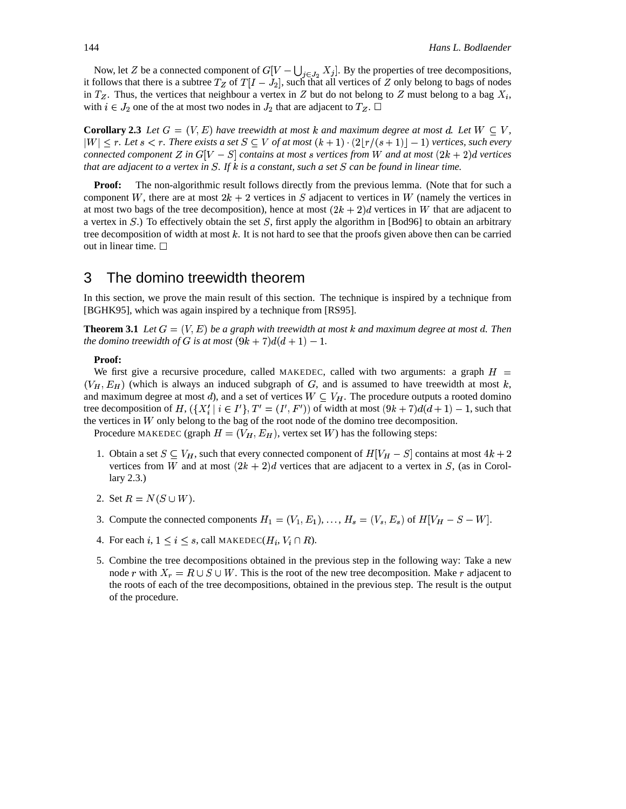Now, let Z be a connected component of  $G[V - \bigcup_{i \in I_0} X_i]$ . By the properties of tree decompositions, it follows that there is a subtree  $T_Z$  of  $T[I - J_2]$ , such that all vertices of Z only belong to bags of nodes in  $T_Z$ . Thus, the vertices that neighbour a vertex in Z but do not belong to Z must belong to a bag  $X_i$ , with  $i \in J_2$  one of the at most two nodes in  $J_2$  that are adjacent to  $T_Z$ .  $\Box$ 

**Corollary 2.3** Let  $G = (V, E)$  have treewidth at most k and maximum degree at most d. Let  $W \subseteq V$ ,  $|W| \leq r$ . Let  $s \leq r$ . There exists a set  $S \subseteq V$  of at most  $(k+1) \cdot (2|r/(s+1)|-1)$  vertices, such every *connected component*  $Z$  *in*  $G[V - S]$  *contains at most s* vertices from W and *at* most  $(2k + 2)d$  vertices that are adjacent to a vertex in S. If k is a constant, such a set S can be found in linear time.

**Proof:** The non-algorithmic result follows directly from the previous lemma. (Note that for such a component W, there are at most  $2k + 2$  vertices in S adjacent to vertices in W (namely the vertices in at most two bags of the tree decomposition), hence at most  $(2k + 2)d$  vertices in W that are adjacent to a vertex in  $S$ .) To effectively obtain the set  $S$ , first apply the algorithm in [Bod96] to obtain an arbitrary tree decomposition of width at most  $k$ . It is not hard to see that the proofs given above then can be carried out in linear time.  $\Box$ 

### 3 The domino treewidth theorem

In this section, we prove the main result of this section. The technique is inspired by a technique from [BGHK95], which was again inspired by a technique from [RS95].

**Theorem 3.1** Let  $G = (V, E)$  be a graph with treewidth at most k and maximum degree at most d. Then *the domino treewidth of G is at most*  $(9k + 7)d(d + 1) - 1$ .

### **Proof:**

We first give a recursive procedure, called MAKEDEC, called with two arguments: a graph  $H =$  $(V_H, E_H)$  (which is always an induced subgraph of G, and is assumed to have treewidth at most k, and maximum degree at most d), and a set of vertices  $W \subseteq V_H$ . The procedure outputs a rooted domino tree decomposition of  $H$ ,  $(\{X'_i \mid i \in I'\}, T' = (I', F'))$  of width at most  $(9k+7)d(d+1) - 1$ , such that the vertices in  $W$  only belong to the bag of the root node of the domino tree decomposition.

Procedure MAKEDEC (graph  $H=(V_H, E_H)$ , vertex set W) has the following steps:

- 1. Obtain a set  $S \subseteq V_H$ , such that every connected component of  $H[V_H S]$  contains at most  $4k + 2$ vertices from W and at most  $(2k + 2)d$  vertices that are adjacent to a vertex in S, (as in Corollary 2.3.)
- 2. Set  $R = N(S \cup W)$ .
- 3. Compute the connected components  $H_1 = (V_1, E_1), \ldots, H_s = (V_s, E_s)$  of  $H[V_H S W]$ .
- 4. For each i,  $1 \le i \le s$ , call MAKEDEC( $H_i, V_i \cap R$ ).
- 5. Combine the tree decompositions obtained in the previous step in the following way: Take a new node *r* with  $X_r = R \cup S \cup W$ . This is the root of the new tree decomposition. Make *r* adjacent to the roots of each of the tree decompositions, obtained in the previous step. The result is the output of the procedure.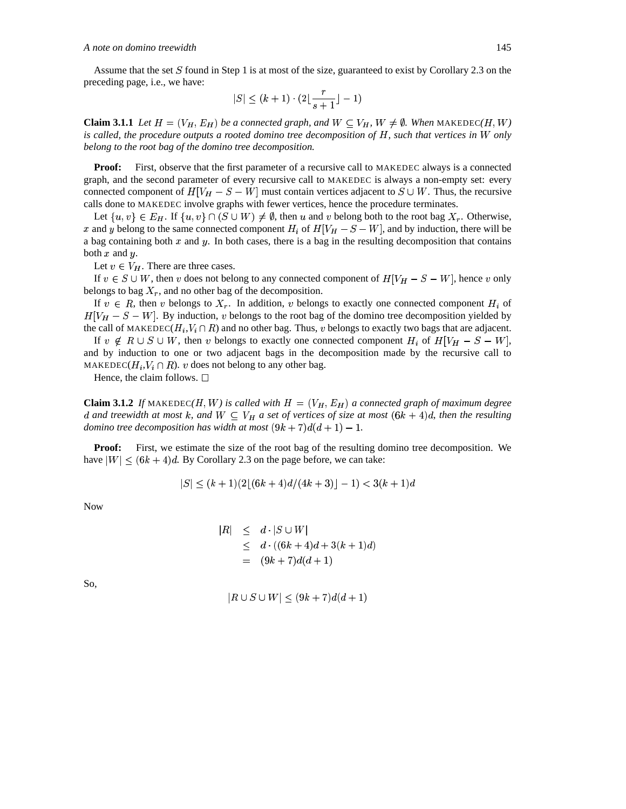#### A note on domino treewidth

Assume that the set S found in Step 1 is at most of the size, guaranteed to exist by Corollary 2.3 on the preceding page, i.e., we have:

$$
|S| \le (k+1) \cdot (2\lfloor \frac{r}{s+1} \rfloor - 1)
$$

**Claim 3.1.1** Let  $H = (V_H, E_H)$  be a connected graph, and  $W \subseteq V_H$ ,  $W \neq \emptyset$ . When MAKEDEC(H, W) is called, the procedure outputs a rooted domino tree decomposition of  $H$ , such that vertices in  $W$  only belong to the root bag of the domino tree decomposition.

**Proof:** First, observe that the first parameter of a recursive call to MAKEDEC always is a connected graph, and the second parameter of every recursive call to MAKEDEC is always a non-empty set: every connected component of  $H[V_H - S - W]$  must contain vertices adjacent to  $S \cup W$ . Thus, the recursive calls done to MAKEDEC involve graphs with fewer vertices, hence the procedure terminates.

Let  $\{u, v\} \in E_H$ . If  $\{u, v\} \cap (S \cup W) \neq \emptyset$ , then u and v belong both to the root bag  $X_r$ . Otherwise, x and y belong to the same connected component  $H_i$  of  $H[V_H - S - W]$ , and by induction, there will be a bag containing both  $x$  and  $y$ . In both cases, there is a bag in the resulting decomposition that contains both  $x$  and  $y$ .

Let  $v \in V_H$ . There are three cases.

If  $v \in S \cup W$ , then v does not belong to any connected component of  $H[V_H - S - W]$ , hence v only belongs to bag  $X_r$ , and no other bag of the decomposition.

If  $v \in R$ , then v belongs to  $X_r$ . In addition, v belongs to exactly one connected component  $H_i$  of  $H[V_H - S - W]$ . By induction, v belongs to the root bag of the domino tree decomposition yielded by the call of MAKEDEC( $H_i$ , $V_i \cap R$ ) and no other bag. Thus, v belongs to exactly two bags that are adjacent.

If  $v \notin R \cup S \cup W$ , then v belongs to exactly one connected component  $H_i$  of  $H[V_H - S - W]$ , and by induction to one or two adjacent bags in the decomposition made by the recursive call to MAKEDEC( $H_i, V_i \cap R$ ). v does not belong to any other bag.

Hence, the claim follows.  $\Box$ 

**Claim 3.1.2** If MAKEDEC(H, W) is called with  $H = (V_H, E_H)$  a connected graph of maximum degree d and treewidth at most k, and  $W \subseteq V_H$  a set of vertices of size at most  $(6k + 4)d$ , then the resulting domino tree decomposition has width at most  $(9k + 7)d(d + 1) - 1$ .

**Proof:** First, we estimate the size of the root bag of the resulting domino tree decomposition. We have  $|W| \le (6k + 4)d$ . By Corollary 2.3 on the page before, we can take:

$$
|S| \le (k+1)(2|(6k+4)d/(4k+3)|-1) < 3(k+1)d
$$

**Now** 

$$
|R| \le d \cdot |S \cup W|
$$
  
\n
$$
\le d \cdot ((6k+4)d + 3(k+1)d)
$$
  
\n
$$
= (9k+7)d(d+1)
$$

So,

$$
|R \cup S \cup W| \le (9k + 7)d(d+1)
$$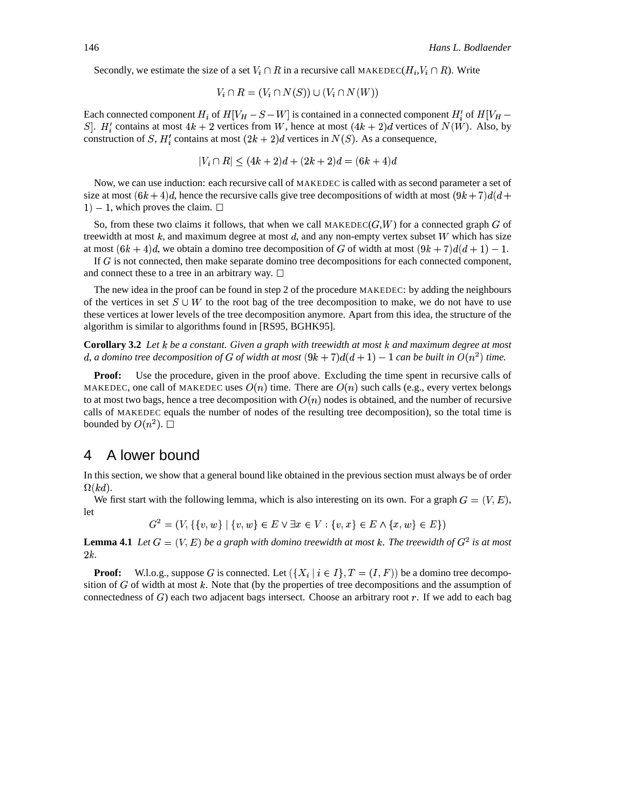Secondly, we estimate the size of a set  $V_i \cap R$  in a recursive call MAKEDEC( $H_i, V_i \cap R$ ). Write

$$
V_i \cap R = (V_i \cap N(S)) \cup (V_i \cap N(W))
$$

Each connected component  $H_i$  of  $H[V_H - S - W]$  is contained in a connected component  $H_i'$  of  $H[V_H - S - W]$ S. H'' contains at most  $4k + 2$  vertices from W, hence at most  $(4k + 2)d$  vertices of  $N(W)$ . Also, by construction of S,  $H'_i$  contains at most  $(2k + 2)d$  vertices in  $N(S)$ . As a consequence,

$$
|V_i \cap R| \le (4k+2)d + (2k+2)d = (6k+4)d
$$

Now, we can use induction: each recursive call of MAKEDEC is called with as second parameter a set of size at most  $(6k + 4)d$ , hence the recursive calls give tree decompositions of width at most  $(9k + 7)d(d +$  $1) - 1$ , which proves the claim.  $\square$ 

So, from these two claims it follows, that when we call MAKEDEC( $G,W$ ) for a connected graph G of treewidth at most  $k$ , and maximum degree at most  $d$ , and any non-empty vertex subset  $W$  which has size at most  $(6k+4)d$ , we obtain a domino tree decomposition of G of width at most  $(9k+7)d(d+1)-1$ .

If G is not connected, then make separate domino tree decompositions for each connected component, and connect these to a tree in an arbitrary way.  $\Box$ 

The new idea in the proof can be found in step 2 of the procedure MAKEDEC: by adding the neighbours of the vertices in set  $S \cup W$  to the root bag of the tree decomposition to make, we do not have to use these vertices at lower levels of the tree decomposition anymore. Apart from this idea, the structure of the algorithm is similar to algorithms found in [RS95, BGHK95].

**Corollary 3.2** Let  $k$  be a constant. Given a graph with treewidth at most  $k$  and maximum degree at most d, a domino tree decomposition of G of width at most  $(9k + 7)d(d + 1) - 1$  can be built in  $O(n^2)$  time.

Proof: Use the procedure, given in the proof above. Excluding the time spent in recursive calls of MAKEDEC, one call of MAKEDEC uses  $O(n)$  time. There are  $O(n)$  such calls (e.g., every vertex belongs to at most two bags, hence a tree decomposition with  $O(n)$  nodes is obtained, and the number of recursive calls of MAKEDEC equals the number of nodes of the resulting tree decomposition), so the total time is bounded by  $O(n^2)$ .  $\Box$ 

#### A lower bound 4

In this section, we show that a general bound like obtained in the previous section must always be of order  $\Omega(kd)$ .

We first start with the following lemma, which is also interesting on its own. For a graph  $G = (V, E)$ , let

 $G^2 = (V, \{\{v, w\} \mid \{v, w\} \in E \lor \exists x \in V : \{v, x\} \in E \land \{x, w\} \in E\})$ 

**Lemma 4.1** Let  $G = (V, E)$  be a graph with domino treewidth at most k. The treewidth of  $G^2$  is at most  $2k.$ 

W.l.o.g., suppose G is connected. Let  $({X_i | i \in I}, T = (I, F))$  be a domino tree decompo-**Proof:** sition of  $G$  of width at most  $k$ . Note that (by the properties of tree decompositions and the assumption of connectedness of  $G$ ) each two adjacent bags intersect. Choose an arbitrary root  $r$ . If we add to each bag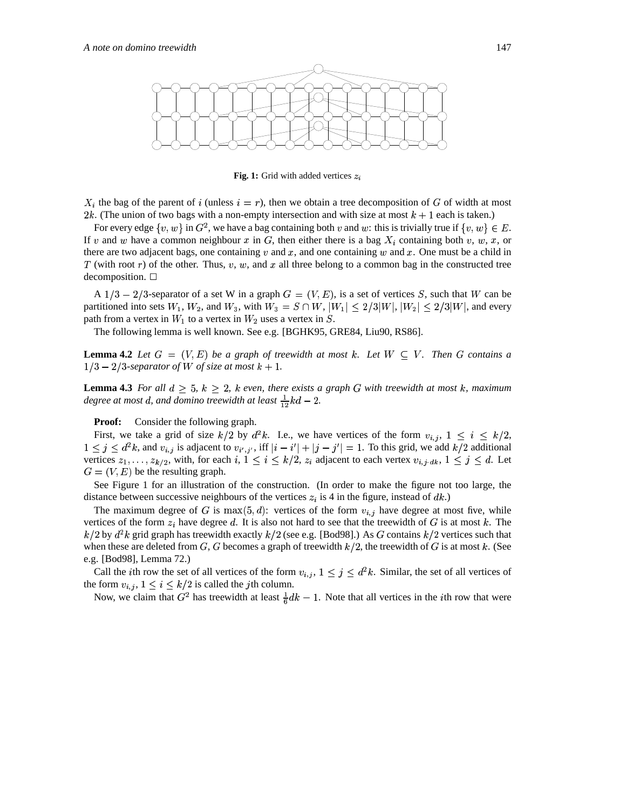

Fig. 1: Grid with added vertices  $z_i$ 

 $X_i$  the bag of the parent of i (unless  $i = r$ ), then we obtain a tree decomposition of G of width at most 2k. (The union of two bags with a non-empty intersection and with size at most  $k + 1$  each is taken.)

For every edge  $\{v, w\}$  in  $G^2$ , we have a bag containing both v and w: this is trivially true if  $\{v, w\} \in E$ . If v and w have a common neighbour x in G, then either there is a bag  $X_i$  containing both v, w, x, or there are two adjacent bags, one containing  $v$  and  $x$ , and one containing  $w$  and  $x$ . One must be a child in  $T$  (with root r) of the other. Thus, v, w, and x all three belong to a common bag in the constructed tree  $decomposition.$ 

A  $1/3 - 2/3$ -separator of a set W in a graph  $G = (V, E)$ , is a set of vertices S, such that W can be partitioned into sets  $W_1$ ,  $W_2$ , and  $W_3$ , with  $W_3 = S \cap W$ ,  $|W_1| \leq 2/3|W|$ ,  $|W_2| \leq 2/3|W|$ , and every path from a vertex in  $W_1$  to a vertex in  $W_2$  uses a vertex in  $S$ .

The following lemma is well known. See e.g. [BGHK95, GRE84, Liu90, RS86].

**Lemma 4.2** Let  $G = (V, E)$  be a graph of treewidth at most k. Let  $W \subseteq V$ . Then G contains a  $1/3 - 2/3$ -separator of W of size at most  $k + 1$ .

**Lemma 4.3** For all  $d \geq 5$ ,  $k \geq 2$ , k even, there exists a graph G with treewidth at most k, maximum degree at most d, and domino treewidth at least  $\frac{1}{12}kd - 2$ .

**Proof:** Consider the following graph.

First, we take a grid of size  $k/2$  by  $d^2k$ . I.e., we have vertices of the form  $v_{i,j}$ ,  $1 \le i \le k/2$ ,  $1 \le j \le d^2k$ , and  $v_{i,j}$  is adjacent to  $v_{i',j'}$ , iff  $|i - i'| + |j - j'| = 1$ . To this grid, we add  $k/2$  additional vertices  $z_1, \ldots, z_{k/2}$ , with, for each  $i, 1 \le i \le k/2$ ,  $z_i$  adjacent to each vertex  $v_{i,j}$ ,  $d_k$ ,  $1 \le j \le d$ . Let  $G = (V, E)$  be the resulting graph.

See Figure 1 for an illustration of the construction. (In order to make the figure not too large, the distance between successive neighbours of the vertices  $z_i$  is 4 in the figure, instead of  $dk$ .)

The maximum degree of G is  $\max(5, d)$ : vertices of the form  $v_{i,j}$  have degree at most five, while vertices of the form  $z_i$  have degree d. It is also not hard to see that the treewidth of G is at most k. The  $k/2$  by  $d^2k$  grid graph has treewidth exactly  $k/2$  (see e.g. [Bod98].) As G contains  $k/2$  vertices such that when these are deleted from G, G becomes a graph of treewidth  $k/2$ , the treewidth of G is at most k. (See e.g. [Bod98], Lemma 72.)

Call the *i*th row the set of all vertices of the form  $v_{i,j}$ ,  $1 \leq j \leq d^2k$ . Similar, the set of all vertices of the form  $v_{i,j}$ ,  $1 \leq i \leq k/2$  is called the *j*th column.

Now, we claim that  $G^2$  has treewidth at least  $\frac{1}{6}dk - 1$ . Note that all vertices in the *i*th row that were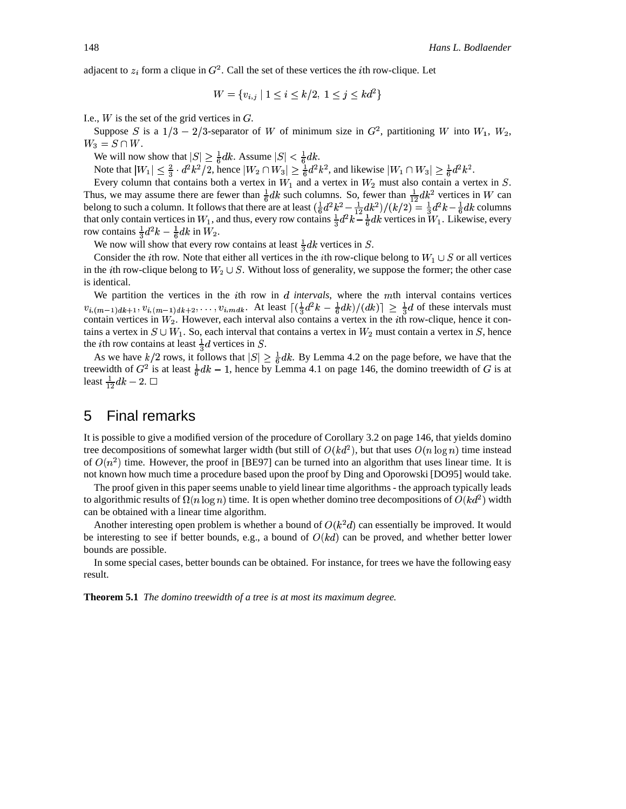adjacent to  $z_i$  form a clique in  $G^2$ . Call the set of these vertices the *i*th row-clique. Let

$$
W = \{v_{i,j} \mid 1 \le i \le k/2, 1 \le j \le kd^2\}
$$

I.e.,  $W$  is the set of the grid vertices in  $G$ .

Suppose S is a  $1/3 - 2/3$ -separator of W of minimum size in  $G^2$ , partitioning W into  $W_1$ ,  $W_2$ ,  $W_3 = S \cap W$ .

We will now show that  $|S| \geq \frac{1}{6}dk$ . Assume  $|S| < \frac{1}{6}dk$ .

Note that  $|W_1| \leq \frac{2}{3} \cdot d^2 k^2/2$ , hence  $|W_2 \cap W_3| \geq \frac{1}{6} d^2 k^2$ , and likewise  $|W_1 \cap W_3| \geq \frac{1}{6} d^2 k^2$ .

Every column that contains both a vertex in  $W_1$  and a vertex in  $W_2$  must also contain a vertex in S. Thus, we may assume there are fewer than  $\frac{1}{6}dk$  such columns. So, fewer than  $\frac{1}{12}dk^2$  vertices in W can belong to such a column. It follows that there are at least  $(\frac{1}{6}d^2k^2 - \frac{1}{12}dk^2)/(k/2) = \frac{1}{3}d^2k - \frac{1}{6}dk$  columns that only contain vertices in  $W_1$ , and thus, every row contains  $\frac{1}{3}d^2k - \frac{1}{6}dk$  vertices in  $W_1$ . Likewise, every row contains  $\frac{1}{3}d^2k - \frac{1}{6}dk$  in  $W_2$ .

We now will show that every row contains at least  $\frac{1}{3}dk$  vertices in S.

Consider the *i*th row. Note that either all vertices in the *i*th row-clique belong to  $W_1 \cup S$  or all vertices in the *i*th row-clique belong to  $W_2 \cup S$ . Without loss of generality, we suppose the former; the other case is identical.

We partition the vertices in the *i*th row in  $d$  *intervals*, where the  $m$ th interval contains vertices  $v_{i,(m-1)d^{k+1}}$ ,  $v_{i,(m-1)d^{k+2}}$ , ...,  $v_{i,mdk}$ . At least  $\left[\left(\frac{1}{3}d^{2}k-\frac{1}{6}dk\right)/(dk)\right] \geq \frac{1}{3}d$  of these intervals must contain vertices in  $W_2$ . However, each interval also contains a vertex in the *i*th row-clique, hence it contains a vertex in  $S \cup W_1$ . So, each interval that contains a vertex in  $W_2$  must contain a vertex in S, hence the *i*th row contains at least  $\frac{1}{3}d$  vertices in S.

As we have  $k/2$  rows, it follows that  $|S| \geq \frac{1}{6}dk$ . By Lemma 4.2 on the page before, we have that the treewidth of  $G^2$  is at least  $\frac{1}{6}dk - 1$ , hence by Lemma 4.1 on page 146, the domino treewidth of G is at least  $\frac{1}{12}dk - 2$ .  $\Box$ 

#### 5 **Final remarks**

It is possible to give a modified version of the procedure of Corollary 3.2 on page 146, that yields domino tree decompositions of somewhat larger width (but still of  $O(kd^2)$ , but that uses  $O(n \log n)$  time instead of  $O(n^2)$  time. However, the proof in [BE97] can be turned into an algorithm that uses linear time. It is not known how much time a procedure based upon the proof by Ding and Oporowski [DO95] would take.

The proof given in this paper seems unable to yield linear time algorithms - the approach typically leads to algorithmic results of  $\Omega(n \log n)$  time. It is open whether domino tree decompositions of  $O(kd^2)$  width can be obtained with a linear time algorithm.

Another interesting open problem is whether a bound of  $O(k^2d)$  can essentially be improved. It would be interesting to see if better bounds, e.g., a bound of  $O(kd)$  can be proved, and whether better lower bounds are possible.

In some special cases, better bounds can be obtained. For instance, for trees we have the following easy result.

**Theorem 5.1** The domino treewidth of a tree is at most its maximum degree.